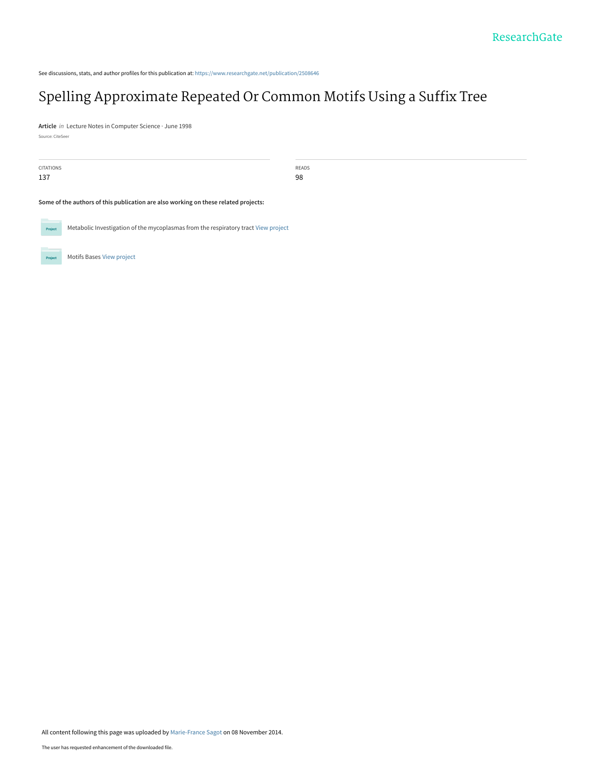See discussions, stats, and author profiles for this publication at: [https://www.researchgate.net/publication/2508646](https://www.researchgate.net/publication/2508646_Spelling_Approximate_Repeated_Or_Common_Motifs_Using_a_Suffix_Tree?enrichId=rgreq-25109eaecd47bb6c7b83278fb2ca59db-XXX&enrichSource=Y292ZXJQYWdlOzI1MDg2NDY7QVM6MTYxMTQzMDkxOTAwNDE2QDE0MTU0MzA5MTUwOTM%3D&el=1_x_2&_esc=publicationCoverPdf)

# [Spelling Approximate Repeated Or Common Motifs Using a Suffix Tree](https://www.researchgate.net/publication/2508646_Spelling_Approximate_Repeated_Or_Common_Motifs_Using_a_Suffix_Tree?enrichId=rgreq-25109eaecd47bb6c7b83278fb2ca59db-XXX&enrichSource=Y292ZXJQYWdlOzI1MDg2NDY7QVM6MTYxMTQzMDkxOTAwNDE2QDE0MTU0MzA5MTUwOTM%3D&el=1_x_3&_esc=publicationCoverPdf)

**Article** in Lecture Notes in Computer Science · June 1998

Source: CiteSeer

| <b>CITATIONS</b>                                                                              | READS |  |
|-----------------------------------------------------------------------------------------------|-------|--|
| 137                                                                                           | 98    |  |
|                                                                                               |       |  |
| Some of the authors of this publication are also working on these related projects:           |       |  |
|                                                                                               |       |  |
| Metabolic Investigation of the mycoplasmas from the respiratory tract View project<br>Project |       |  |
|                                                                                               |       |  |
|                                                                                               |       |  |
| Motifs Bases View project<br>Project                                                          |       |  |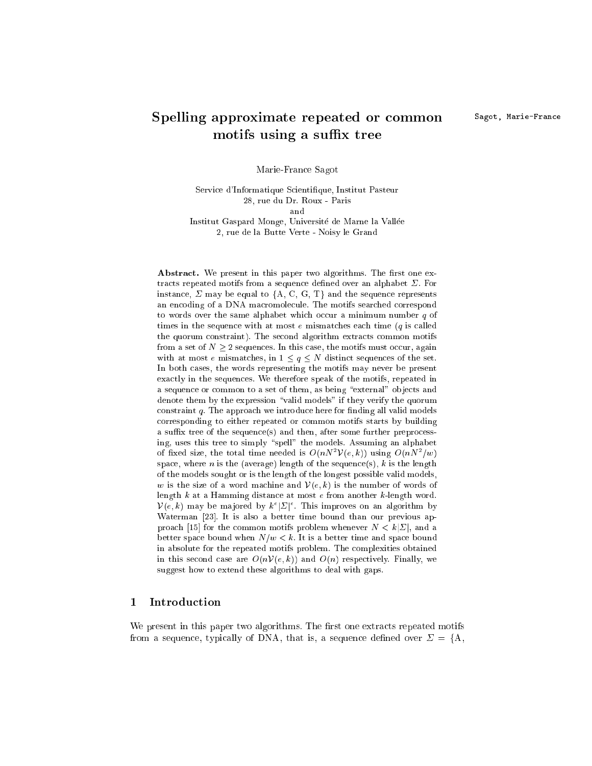## Spelling approximate repeated or common Sagot, Marie-France motifs using a sum of  $\mathbb{R}^n$

Marie-France Sagot

Service d'Informatique Scientique, Institut Pasteur 28, rue du Dr. Roux - Paris and Institut Gaspard Monge, Universite de Marne la Vallee

2, rue de la Butte Verte - Noisy le Grand

Abstract. We present in this paper two algorithms. The first one extracts repeated motifs from a sequence defined over an alphabet  $\Sigma$ . For instance,  $\Sigma$  may be equal to  $\{A, C, G, T\}$  and the sequence represents an encoding of a DNA macromolecule. The motifs searched correspond to words over the same alphabet which occur a minimum number <sup>q</sup> of times in the sequence with at most  $e$  mismatches each time  $(q$  is called the quorum constraint). The second algorithm extracts common motifs from a set of  $N > 2$  sequences. In this case, the motifs must occur, again with at most e mismatches, in  $1 \le q \le N$  distinct sequences of the set. In both cases, the words representing the motifs may never be present exactly in the sequences. We therefore speak of the motifs, repeated in a sequence or common to a set of them, as being "external" objects and denote them by the expression "valid models" if they verify the quorum constraint  $q$ . The approach we introduce here for finding all valid models corresponding to either repeated or common motifs starts by building a suffix tree of the sequence(s) and then, after some further preprocessing, uses this tree to simply "spell" the models. Assuming an alphabet of fixed size, the total time needed is  $O(nN^2 V(e, \kappa))$  using  $O(nN^2/w)$ space, where  $n$  is the (average) length of the sequence(s),  $k$  is the length of the models sought or is the length of the longest possible valid models, w is the size of a word machine and  $\mathcal{V}(e, k)$  is the number of words of length <sup>k</sup> at a Hamming distance at most <sup>e</sup> from another k-length word.  $V(e, k)$  may be majored by  $k^2|\mathcal{Z}|$ . This improves on an algorithm by Waterman [23]. It is also a better time bound than our previous approach [15] for the common motifs problem whenever  $N < k|\mathcal{L}|$ , and a better space bound when  $N/w < k$ . It is a better time and space bound in absolute for the repeated motifs problem. The complexities obtained in this second case are  $O(nV(e, k))$  and  $O(n)$  respectively. Finally, we suggest how to extend these algorithms to deal with gaps.

### 1 Introduction

We present in this paper two algorithms. The first one extracts repeated motifs from a sequence, typically of DNA, that is, a sequence defined over  $\Sigma = \{A, \}$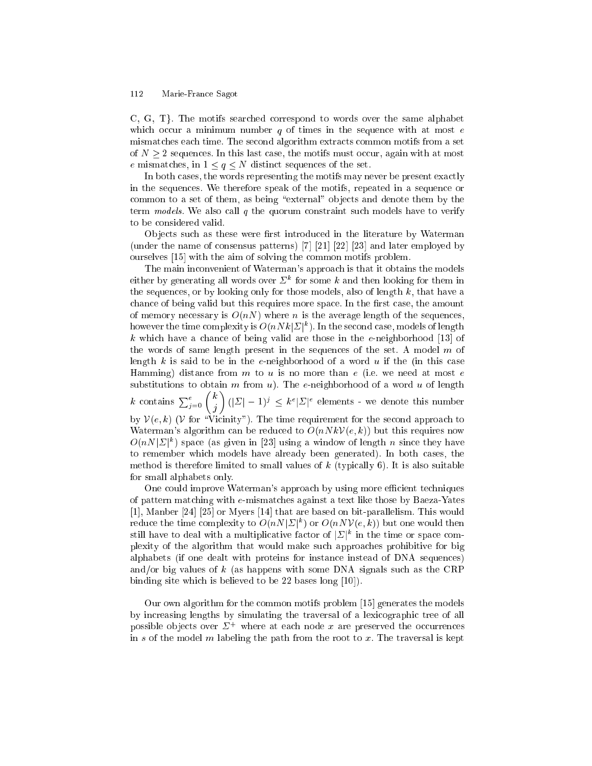$C, G, T$ . The motifs searched correspond to words over the same alphabet which occur a minimum number q of times in the sequence with at most  $e$ mismatches each time. The second algorithm extracts common motifs from a set of  $N \geq 2$  sequences. In this last case, the motifs must occur, again with at most e mismatches, in 1 <sup>q</sup> <sup>N</sup> distinct sequences of the set.

In both cases, the words representing the motifs may never be present exactly in the sequences. We therefore speak of the motifs, repeated in a sequence or common to a set of them, as being "external" objects and denote them by the term *models*. We also call  $q$  the quorum constraint such models have to verify to be considered valid.

Objects such as these were first introduced in the literature by Waterman (under the name of consensus patterns) [7] [21] [22] [23] and later employed by ourselves [15] with the aim of solving the common motifs problem.

The main inconvenient of Waterman's approach is that it obtains the models either by generating all words over  $\varSigma^+$  for some  $\kappa$  and then looking for them in the sequences, or by looking only for those models, also of length  $k$ , that have a chance of being valid but this requires more space. In the first case, the amount of memory necessary is  $O(nN)$  where n is the average length of the sequences, however the time complexity is  $O(nN |Z|^{n})$ . In the second case, models of length k which have a chance of being valid are those in the e-neighborhood [13] of the words of same length present in the sequences of the set. A model <sup>m</sup> of length k is said to be in the e-neighborhood of a word u if the (in this case Hamming) distance from  $m$  to  $u$  is no more than  $e$  (i.e. we need at most  $e$ substitutions to obtain m from u). The e-neighborhood of a word u of length k contains  $\sum_{i=0}^e \left( \right)$  $\cdot$  .  $\sim$  $(|z| - 1)^{j} \leq k^2 |z|$  elements - we denote this number by  $V(e, k)$  (V for "Vicinity"). The time requirement for the second approach to Waterman's algorithm can be reduced to  $O(nN kV(e, k))$  but this requires now  $O(nN|\mathcal{Z}|^n)$  space (as given in [23] using a window of length  $n$  since they have

to remember which models have already been generated). In both cases, the method is therefore limited to small values of  $k$  (typically 6). It is also suitable for small alphabets only. One could improve Waterman's approach by using more efficient techniques of pattern matching with e-mismatches against a text like those by Baeza-Yates

[1], Manber [24] [25] or Myers [14] that are based on bit-parallelism. This would reduce the time complexity to  $O(nN) \geq \lfloor n \rfloor$  or  $O(nN) \vee (e, \kappa)$  ) but one would then still have to deal with a multiplicative factor of  $|Z|^\alpha$  in the time or space complexity of the algorithm that would make such approaches prohibitive for big alphabets (if one dealt with proteins for instance instead of DNA sequences) and/or big values of  $k$  (as happens with some DNA signals such as the CRP binding site which is believed to be 22 bases long [10]).

Our own algorithm for the common motifs problem [15] generates the models by increasing lengths by simulating the traversal of a lexicographic tree of all possible objects over  $\Sigma^+$  where at each node x are preserved the occurrences in s of the model m labeling the path from the root to x. The traversal is kept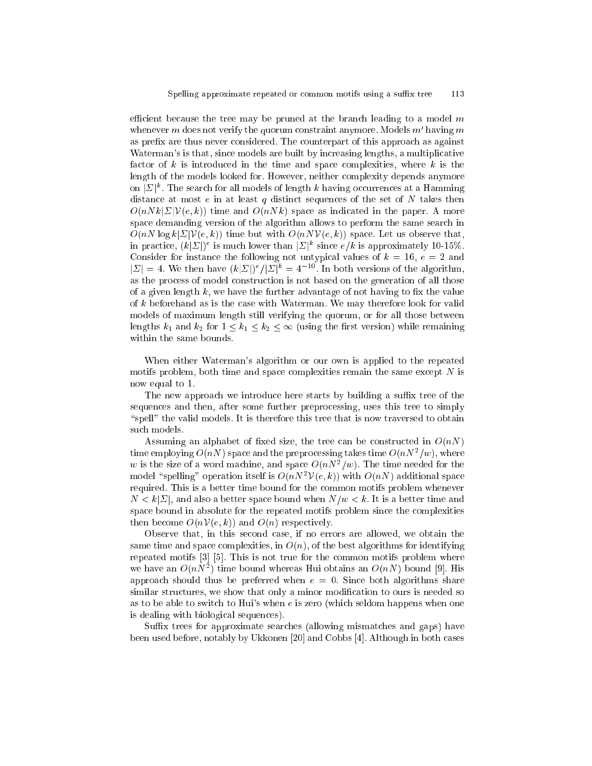efficient because the tree may be pruned at the branch leading to a model  $m$ whenever  $m$  does not verify the quorum constraint anymore. Models  $m$  -having  $m$ as prefix are thus never considered. The counterpart of this approach as against Waterman's is that, since models are built by increasing lengths, a multiplicative factor of  $k$  is introduced in the time and space complexities, where  $k$  is the length of the models looked for. However, neither complexity depends anymore on  $|z|$  . The search for all models of length  $\kappa$  having occurrences at a Hamming distance at most e in at least q distinct sequences of the set of N takes then  $O(nNk|\mathcal{Z}|\mathcal{V}(e,k))$  time and  $O(nNk)$  space as indicated in the paper. A more space demanding version of the algorithm allows to perform the same search in  $O(nN \log k |E| \mathcal{V}(e, k))$  time but with  $O(nN \mathcal{V}(e, k))$  space. Let us observe that, in practice,  $(k|Z|)$  is much lower than  $|Z|$  since  $e/k$  is approximately 10-15%. Consider for instance the following not untypical values of  $k = 16$ ,  $e = 2$  and  $|Z| = 4$ . We then have  $(k|Z|)^{\gamma}/|Z|^{\gamma} = 4^{-\gamma \gamma}$ . In both versions of the algorithm, as the process of model construction is not based on the generation of all those of a given length  $k$ , we have the further advantage of not having to fix the value of <sup>k</sup> beforehand as is the case with Waterman. We may therefore look for valid models of maximum length still verifying the quorum, or for all those between lengths  $k_1$  and  $k_2$  for  $1 \leq k_1 \leq k_2 \leq \infty$  (using the first version) while remaining within the same bounds.

When either Waterman's algorithm or our own is applied to the repeated motifs problem, both time and space complexities remain the same except  $N$  is now equal to 1.

The new approach we introduce here starts by building a suffix tree of the sequences and then, after some further preprocessing, uses this tree to simply "spell" the valid models. It is therefore this tree that is now traversed to obtain such models.

Assuming an alphabet of fixed size, the tree can be constructed in  $O(nN)$ thine employing  $O(nN)$  space and the preprocessing takes time  $O(nN^2/w)$ , where  $w$  is the size of a word machine, and space  $O(nN^2/w)$ . The time needed for the model spelling operation itself is  $O(nN^2V(\epsilon, \kappa))$  with  $O(nN)$  additional space required. This is a better time bound for the common motifs problem whenever N <sup>&</sup>lt; kjj, and also a better space bound when N=w <sup>&</sup>lt; k. It is a better time and space bound in absolute for the repeated motifs problem since the complexities then become  $O(nV(e,k))$  and  $O(n)$  respectively.

Observe that, in this second case, if no errors are allowed, we obtain the same time and space complexities, in  $O(n)$ , of the best algorithms for identifying repeated motifs [3] [5]. This is not true for the common motifs problem where we have an  $O(nN^{-})$  time bound whereas Hui obtains an  $O(nN)$  bound [9]. His approach should thus be preferred when  $e = 0$ . Since both algorithms share similar structures, we show that only a minor modification to ours is needed so as to be able to switch to Hui's when  $e$  is zero (which seldom happens when one is dealing with biological sequences).

Suffix trees for approximate searches (allowing mismatches and gaps) have been used before, notably by Ukkonen [20] and Cobbs [4]. Although in both cases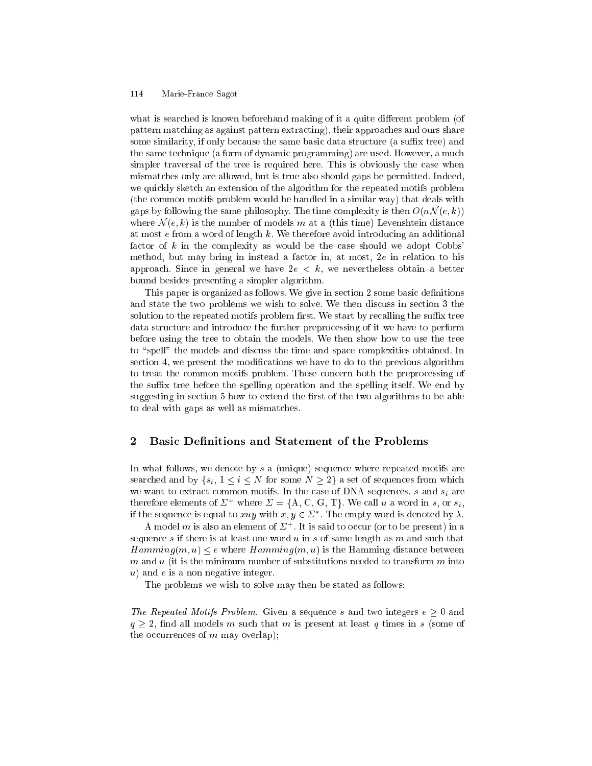what is searched is known beforehand making of it a quite different problem (of pattern matching as against pattern extracting), their approaches and ours share some similarity, if only because the same basic data structure (a suffix tree) and the same technique (a form of dynamic programming) are used. However, a much simpler traversal of the tree is required here. This is obviously the case when mismatches only are allowed, but is true also should gaps be permitted. Indeed, we quickly sketch an extension of the algorithm for the repeated motifs problem (the common motifs problem would be handled in a similar way) that deals with gaps by following the same philosophy. The time complexity is then  $O(n\mathcal{N}(e, k))$ where  $\mathcal{N}(e, k)$  is the number of models m at a (this time) Levenshtein distance at most  $e$  from a word of length  $k$ . We therefore avoid introducing an additional factor of  $k$  in the complexity as would be the case should we adopt Cobbs' method, but may bring in instead a factor in, at most, 2e in relation to his approach. Since in general we have  $2e < k$ , we nevertheless obtain a better bound besides presenting a simpler algorithm.

This paper is organized as follows. We give in section 2 some basic definitions and state the two problems we wish to solve. We then discuss in section 3 the solution to the repeated motifs problem first. We start by recalling the suffix tree data structure and introduce the further preprocessing of it we have to perform before using the tree to obtain the models. We then show how to use the tree to "spell" the models and discuss the time and space complexities obtained. In section 4, we present the modifications we have to do to the previous algorithm to treat the common motifs problem. These concern both the preprocessing of the suffix tree before the spelling operation and the spelling itself. We end by suggesting in section 5 how to extend the first of the two algorithms to be able to deal with gaps as well as mismatches.

### 2 Basic Definitions and Statement of the Problems

In what follows, we denote by <sup>s</sup> a (unique) sequence where repeated motifs are searched and by  $\{s_i, 1 \le i \le N \text{ for some } N \ge 2\}$  a set of sequences from which we want to extract common motifs. In the case of DNA sequences,  $s$  and  $s_i$  are therefore elements of  $\mathcal{Z}$  + where  $\mathcal{Z} = \{A, \, \mathbb{C}, \, \mathbb{G}, \, \mathbb{1}\}$ . We call u a word in s, or  $s_i$ , If the sequence is equal to  $x \overline{u} y$  with  $x, y \in \mathbb{Z}$  . The empty word is denoted by  $\lambda$ .

A model  $m$  is also an element of  $\vartriangle^{+}$  . It is said to occur (or to be present) in a sequence s if there is at least one word  $u$  in s of same length as  $m$  and such that  $Hanning(m, u) \leq e$  where  $Hanning(m, u)$  is the Hamming distance between m and <sup>u</sup> (it is the minimum number of substitutions needed to transform <sup>m</sup> into  $u$ ) and  $e$  is a non negative integer.

The problems we wish to solve may then be stated as follows:

The Repeated Motifs Problem. Given a sequence <sup>s</sup> and two integers <sup>e</sup> 0 and q . . 2, models models made that models models in present at least the such at a (some of the the occurrences of  $m$  may overlap);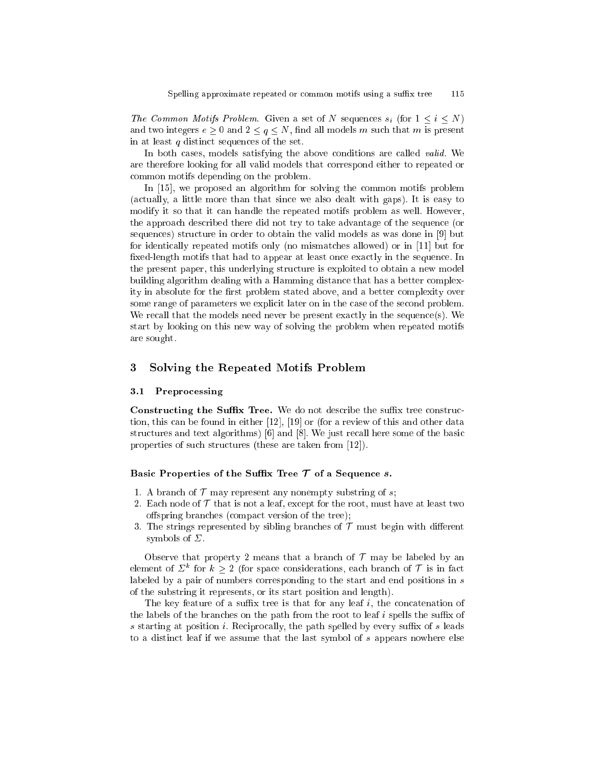The Common Motifs Problem. Given <sup>a</sup> set of <sup>N</sup> sequences si (for <sup>1</sup> <sup>i</sup> N) and two integers  $e \geq 0$  and  $2 \leq q \leq N$ , find all models m such that m is present in at least  $q$  distinct sequences of the set.

In both cases, models satisfying the above conditions are called valid. We are therefore looking for all valid models that correspond either to repeated or common motifs depending on the problem.

In [15], we proposed an algorithm for solving the common motifs problem (actually, a little more than that since we also dealt with gaps). It is easy to modify it so that it can handle the repeated motifs problem as well. However, the approach described there did not try to take advantage of the sequence (or sequences) structure in order to obtain the valid models as was done in [9] but for identically repeated motifs only (no mismatches allowed) or in [11] but for xed-length motifs that had to appear at least once exactly in the sequence. In the present paper, this underlying structure is exploited to obtain a new model building algorithm dealing with a Hamming distance that has a better complexity in absolute for the first problem stated above, and a better complexity over some range of parameters we explicit later on in the case of the second problem. We recall that the models need never be present exactly in the sequence(s). We start by looking on this new way of solving the problem when repeated motifs are sought.

#### 3 3 Solving the Repeated Motifs Problem

### 3.1 Preprocessing

Constructing the Suffix Tree. We do not describe the suffix tree construction, this can be found in either [12], [19] or (for a review of this and other data structures and text algorithms) [6] and [8]. We just recall here some of the basic properties of such structures (these are taken from [12]).

### Basic Properties of the Suffix Tree  $\tau$  of a Sequence s.

- 1. A branch of  $\mathcal T$  may represent any nonempty substring of s;
- 2. Each node of  $\mathcal T$  that is not a leaf, except for the root, must have at least two offspring branches (compact version of the tree);
- 3. The strings represented by sibling branches of  $\mathcal T$  must begin with different symbols of  $\Sigma$ .

Observe that property 2 means that a branch of  $\mathcal T$  may be labeled by an element of  $\varSigma^-$  for  $\kappa > 2$  (for space considerations, each branch of  $T$  is in fact labeled by a pair of numbers corresponding to the start and end positions in  $s$ of the substring it represents, or its start position and length).

The key feature of a suffix tree is that for any leaf  $i$ , the concatenation of the labels of the branches on the path from the root to leaf i spells the suffix of s starting at position i. Reciprocally, the path spelled by every sux of <sup>s</sup> leads to a distinct leaf if we assume that the last symbol of <sup>s</sup> appears nowhere else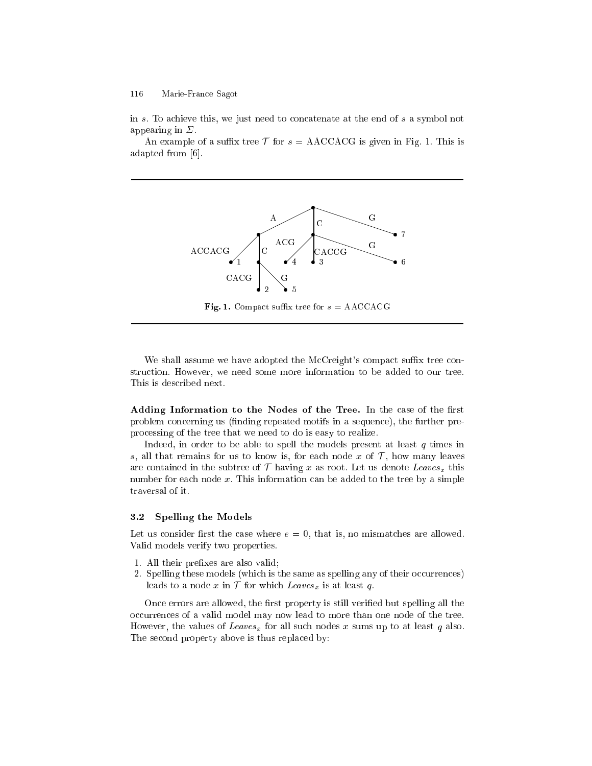in s. To achieve this, we just need to concatenate at the end of <sup>s</sup> a symbol not appearing in  $\Sigma$ .

An example of a suffix tree  $\mathcal T$  for  $s = \text{AACCACG}$  is given in Fig. 1. This is adapted from [6].



Fig. 1. Compact suffix tree for  $s =$  AACCACG

We shall assume we have adopted the McCreight's compact suffix tree construction. However, we need some more information to be added to our tree. This is described next.

Adding Information to the Nodes of the Tree. In the case of the first problem concerning us (finding repeated motifs in a sequence), the further preprocessing of the tree that we need to do is easy to realize.

Indeed, in order to be able to spell the models present at least  $q$  times in s, all that remains for us to know is, for each node x of  $\mathcal{T}$ , how many leaves are contained in the subtree of  $\mu$  matrixed  $\mu$  as as root. Let us denote Leaves  $\mu$  this number for each node  $x$ . This information can be added to the tree by a simple traversal of it.

### 3.2 Spelling the Models

Let us consider first the case where  $e = 0$ , that is, no mismatches are allowed. Valid models verify two properties.

- 1. All their prexes are also valid;
- 2. Spelling these models (which is the same as spelling any of their occurrences) leads to a node <sup>x</sup> in <sup>T</sup> for which Leaves <sup>x</sup> is at least q.

Once errors are allowed, the first property is still verified but spelling all the occurrences of a valid model may now lead to more than one node of the tree. However, the values of Leaves <sup>x</sup> for all such nodes <sup>x</sup> sums up to at least <sup>q</sup> also. The second property above is thus replaced by: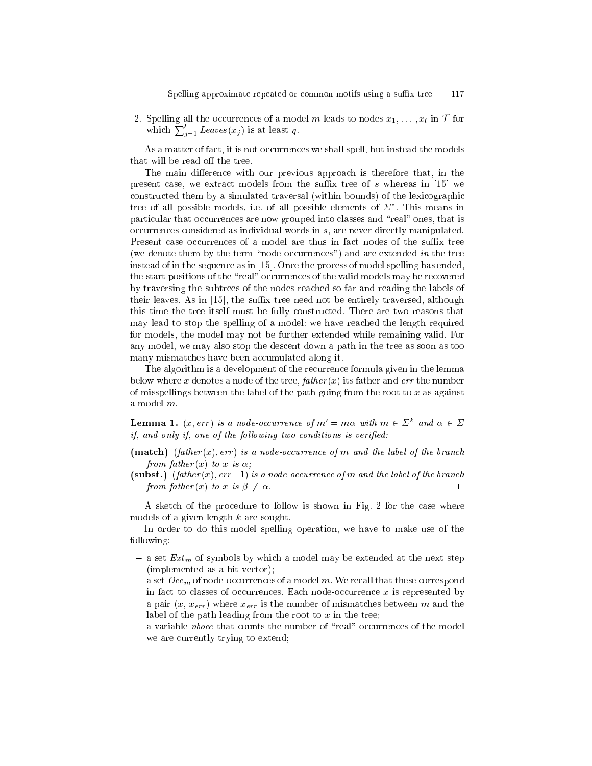2. Spelling all the occurrences of a model m leads to nodes  $x_1, \ldots, x_l$  in  $\mathcal T$  for which  $\sum_{i=1}^{l} \text{Leaves}(x_i)$  is at least q.

As a matter of fact, it is not occurrences we shall spell, but instead the models that will be read off the tree.

The main difference with our previous approach is therefore that, in the present case, we extract models from the suffix tree of s whereas in  $[15]$  we constructed them by a simulated traversal (within bounds) of the lexicographic tree of all possible models, i.e. of all possible elements of  $\mathcal Z$  . This means in particular that occurrences are now grouped into classes and "real" ones, that is occurrences considered as individual words in s, are never directly manipulated. Present case occurrences of a model are thus in fact nodes of the suffix tree (we denote them by the term "node-occurrences") and are extended in the tree instead of in the sequence as in [15]. Once the process of model spelling has ended, the start positions of the "real" occurrences of the valid models may be recovered by traversing the subtrees of the nodes reached so far and reading the labels of their leaves. As in  $[15]$ , the suffix tree need not be entirely traversed, although this time the tree itself must be fully constructed. There are two reasons that may lead to stop the spelling of a model: we have reached the length required for models, the model may not be further extended while remaining valid. For any model, we may also stop the descent down a path in the tree as soon as too many mismatches have been accumulated along it.

The algorithm is a development of the recurrence formula given in the lemma below where x denotes a node of the tree,  $father(x)$  its father and  $err$  the number of misspellings between the label of the path going from the root to  $x$  as against a model m.

**Lemma 1.** (x, err) is a node-occurrence of  $m = m\alpha$  with  $m \in \mathbb{Z}^n$  and  $\alpha \in \mathbb{Z}$ if, and only if, one of the fol lowing two conditions is veried:

- (match) (father(x), err) is a node-occurrence of m and the label of the branch from father (x) to <sup>x</sup> is ;
- (subst.) (father  $(x)$ ,  $err-1$ ) is a node-occurrence of m and the label of the branch  $\Box$  $f: \mathbb{R}^n$  for factor (x) to  $f: \mathbb{R}^n$  , we find the set of  $\mathbb{R}^n$  . Utilize the set of  $\mathbb{R}^n$

A sketch of the procedure to follow is shown in Fig. 2 for the case where models of a given length <sup>k</sup> are sought.

In order to do this model spelling operation, we have to make use of the following:

- ${ a set Ext_m \text{ of symbols by which a model may be extended at the next step }}$ (implemented as a bit-vector);
- ${ }-$  a set  $\mathit{Occ}_m$  of node-occurrences of a model m. We recall that these correspond in fact to classes of occurrences. Each node-occurrence  $x$  is represented by a pair  $(x, x_{err})$  where  $x_{err}$  is the number of mismatches between m and the label of the path leading from the root to  $x$  in the tree;
- ${ }-$  a variable *nbocc* that counts the number of "real" occurrences of the model we are currently trying to extend;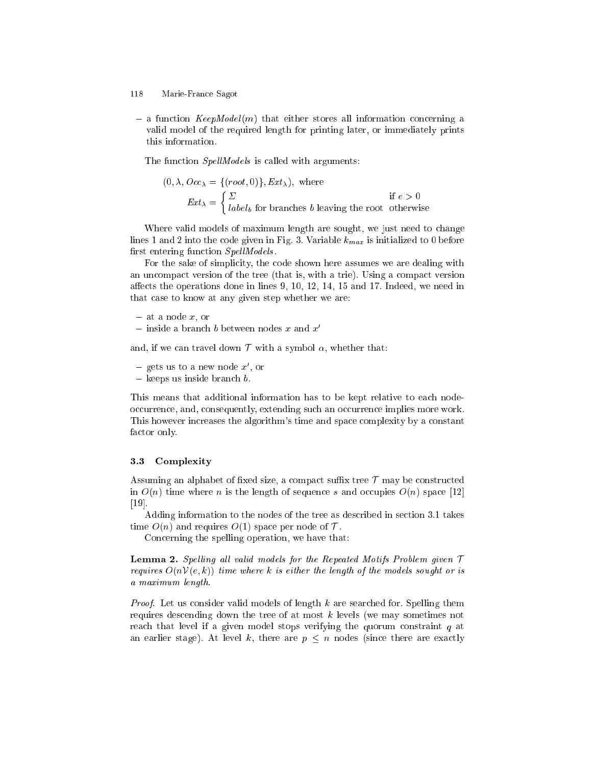- 118 Marie-France Sagot
- ${ a$  function *KeepModel (m)* that either stores all information concerning a valid model of the required length for printing later, or immediately prints this information.

The function SpellModels is called with arguments:

$$
(0, \lambda, \text{Occ}_{\lambda} = \{ (\text{root}, 0) \}, \text{Ext}_{\lambda}), \text{ where}
$$
  

$$
\text{Ext}_{\lambda} = \begin{cases} \Sigma & \text{if } e > 0 \\ \text{label}_b \text{ for branches } b \text{ leaving the root otherwise} \end{cases}
$$

Where valid models of maximum length are sought, we just need to change lines 1 and 2 into the code given in Fig. 3. Variable  $k_{max}$  is initialized to 0 before first entering function  $Spell Models$ .

For the sake of simplicity, the code shown here assumes we are dealing with an uncompact version of the tree (that is, with a trie). Using a compact version affects the operations done in lines  $9, 10, 12, 14, 15$  and 17. Indeed, we need in that case to know at any given step whether we are:

- $-$  at a node x, or
- $=$  inside a branch b between nodes x and  $x'$

and, if we can travel down  $T$  with a symbol  $\alpha$ , whether that:

- $-$  gets us to a new node  $x$  , or
- $-$  keeps us inside branch b.

This means that additional information has to be kept relative to each nodeoccurrence, and, consequently, extending such an occurrence implies more work. This however increases the algorithm's time and space complexity by a constant factor only.

### 3.3 Complexity

Assuming an alphabet of fixed size, a compact suffix tree  $\mathcal T$  may be constructed in  $O(n)$  time where n is the length of sequence s and occupies  $O(n)$  space [12] [19].

Adding information to the nodes of the tree as described in section 3.1 takes time  $O(n)$  and requires  $O(1)$  space per node of  $\mathcal{T}$ .

Concerning the spelling operation, we have that:

**Lemma 2.** Spelling all valid models for the Repeated Motifs Problem given  $T$ requires O(nV(e; k)) time where <sup>k</sup> is either the length of the models sought or is a maximum length. It is a maximum length of the set of the set of the set of the set of the set of the set of

Proof. Let us consider valid models of length <sup>k</sup> are searched for. Spelling them requires descending down the tree of at most <sup>k</sup> levels (we may sometimes not reach that level if a given model stops verifying the quorum constraint  $q$  at an earlier stage). At level k, there are  $p \leq n$  nodes (since there are exactly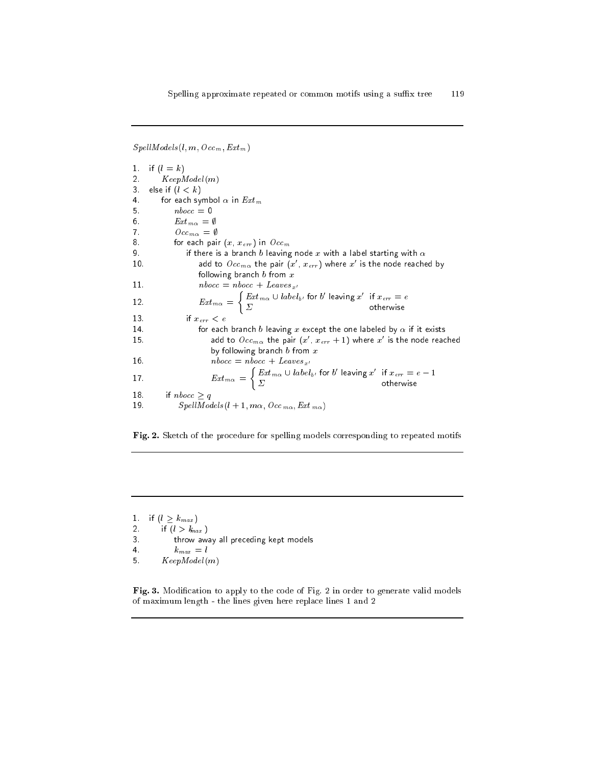$Spell Models (l, m, Occ_m, Ext_m)$ 

|                | 1 if $(l = k)$                                                                                                                                                                                                              |
|----------------|-----------------------------------------------------------------------------------------------------------------------------------------------------------------------------------------------------------------------------|
|                |                                                                                                                                                                                                                             |
|                | 2. $Keep Model(m)$<br>3. else if $(l < k)$                                                                                                                                                                                  |
| 4 <sub>1</sub> | for each symbol $\alpha$ in $Ext_{\,m}$                                                                                                                                                                                     |
|                |                                                                                                                                                                                                                             |
|                | 5. $\qquad \qquad \begin{array}{ll} \text{5.} & \text{ }n \text{} bocc=0 \\ \text{6.} & \text{Ext}_{m \alpha} = \emptyset \\ \text{7.} & \text{Occ}_{m \alpha} = \emptyset \\ \text{6.} & \text{for each pair} \end{array}$ |
|                |                                                                                                                                                                                                                             |
|                | for each pair $(x,~x_{\mathit{err}})$ in $Occ_m$                                                                                                                                                                            |
| 9.             | if there is a branch $b$ leaving node $x$ with a label starting with $\alpha$                                                                                                                                               |
| 10.            | add to $Occ_{m\alpha}$ the pair $(x', x_{err})$ where $x'$ is the node reached by                                                                                                                                           |
|                | following branch b from $x$                                                                                                                                                                                                 |
| 11.            | $nhoc = nbcc + Leaves_{x'}$                                                                                                                                                                                                 |
| 12.            | $Ext_{m\alpha} = \begin{cases} Ext_{m\alpha} \cup label_{b'} \text{ for } b' \text{ leaving } x' \text{ if } x_{err} = e \\ \Sigma \text{ otherwise} \end{cases}$                                                           |
|                |                                                                                                                                                                                                                             |
| 13.            | if $x_{err} < e$                                                                                                                                                                                                            |
| 14.            | for each branch b leaving x except the one labeled by $\alpha$ if it exists                                                                                                                                                 |
| 15.            | add to $Occ_{m\alpha}$ the pair $(x',\ x_{err}+1)$ where $x'$ is the node reached                                                                                                                                           |
|                | by following branch b from $x$                                                                                                                                                                                              |
| 16             | $nhoc = nbcc + Leaves_{x'}$                                                                                                                                                                                                 |
| 17             | $Ext_{m\alpha} = \begin{cases} Ext_{m\alpha} \cup label_{b'} \text{ for } b' \text{ leaving } x' & \text{if } x_{err} = e - 1 \\ \Sigma & \text{otherwise} \end{cases}$                                                     |
| 18.            | if <i>nbocc</i> $\geq q$                                                                                                                                                                                                    |
| 19.            | $SpellModels (l + 1, m\alpha, Occ_{m\alpha}, Ext_{m\alpha})$                                                                                                                                                                |

Fig. 2. Sketch of the procedure for spelling models corresponding to repeated motifs

1. if (l kmax ) 2.if  $(l > k_{max})$ 3. throw away all preceding kept models 4. $k_{\mathit{max}} = l$ 5. $Keep Model(m)$ 

Fig. 3. Modication to apply to the code of Fig. 2 in order to generate valid models of maximum length - the lines given here replace lines 1 and 2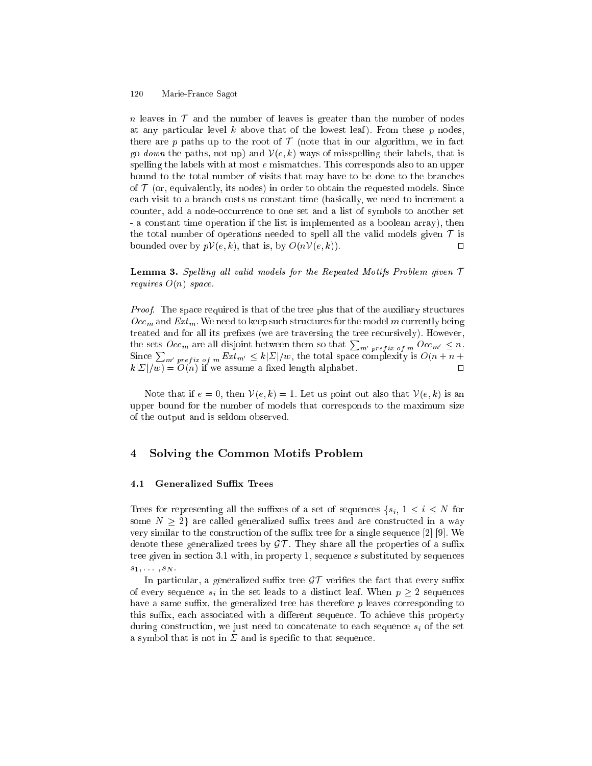n leaves in T and the number of leaves in T and the number of number of number of number of number of number o at any particular level k above that of the lowest leaf). From these  $p$  nodes, there are p paths up to the root of  $\mathcal T$  (note that in our algorithm, we in fact go *down* the paths, not up) and  $V(e, k)$  ways of misspelling their labels, that is spelling the labels with at most e mismatches. This corresponds also to an upper bound to the total number of visits that may have to be done to the branches of  $\mathcal T$  (or, equivalently, its nodes) in order to obtain the requested models. Since each visit to a branch costs us constant time (basically, we need to increment a counter, add a node-occurrence to one set and a list of symbols to another set - a constant time operation if the list is implemented as a boolean array), then the total number of operations needed to spell all the valid models given  $\mathcal T$  is bounded over by  $p\mathcal{V}(e,k)$ , that is, by  $O(n\mathcal{V}(e,k))$ .

**Lemma 3.** Spelling all valid models for the Repeated Motifs Problem given  $T$ requires O(n) space.

Proof. The space required is that of the tree plus that of the auxiliary structures  $Occ_m$  and  $Ext_m$ . We need to keep such structures for the model m currently being treated and for all its prefixes (we are traversing the tree recursively). However, the sets  $Occ_m$  are all disjoint between them so that  $\sum_{m' \text{ prefix of } m} Occ_m \leq n$ .<br>Since  $\sum_{m' \text{ prefix of } m} Ext_{m'} \leq k|\Sigma|/w$ , the total space complexity is  $O(n+n+1)$  $k\left|\sum\right|/w$  =  $\widehat{O}(n)$  if we assume a fixed length alphabet.

Note that if  $e = 0$ , then  $V(e, k) = 1$ . Let us point out also that  $V(e, k)$  is an upper bound for the number of models that corresponds to the maximum size of the output and is seldom observed.

### 4 Solving the Common Motifs Problem

### 4.1 Generalized Suffix Trees

Trees for representing all the suffixes of a set of sequences  $\{s_i, 1 \le i \le N \text{ for }$ some  $N \geq 2$  are called generalized suffix trees and are constructed in a way very similar to the construction of the suffix tree for a single sequence  $[2]$  [9]. We denote these generalized trees by  $\mathcal{GT}$ . They share all the properties of a suffix tree given in section 3.1 with, in property 1, sequence <sup>s</sup> substituted by sequences  $s_1, \ldots, s_N$ .

In particular, a generalized suffix tree  $\mathcal{GT}$  verifies the fact that every suffix of every sequence  $s_i$  in the set leads to a distinct leaf. When  $p \geq 2$  sequences have a same suffix, the generalized tree has therefore  $p$  leaves corresponding to this suffix, each associated with a different sequence. To achieve this property during construction, we just need to concatenate to each sequence  $s_i$  of the set a symbol that is not in  $\Sigma$  and is specific to that sequence.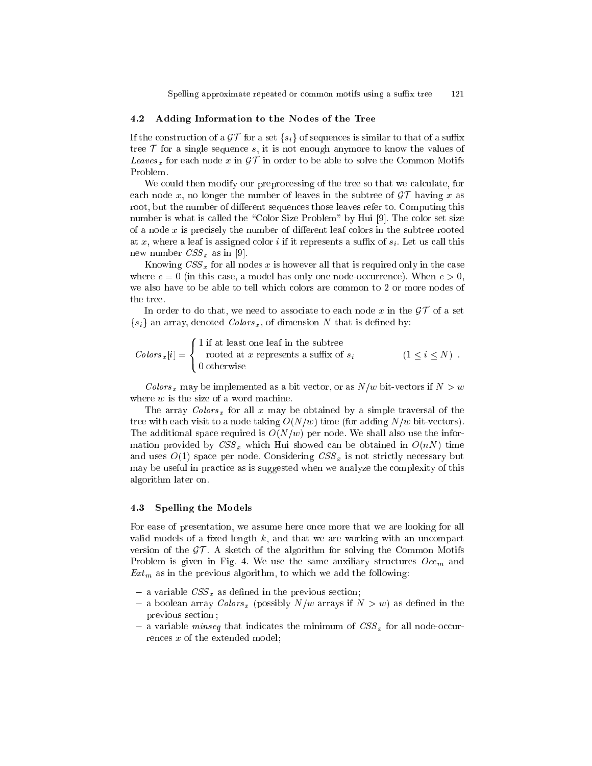Spelling approximate repeated or common motifs using a suffix tree 121

### 4.2 Adding Information to the Nodes of the Tree

If the construction of a  $\mathcal{GT}$  for a set  $\{s_i\}$  of sequences is similar to that of a suffix tree  $\mathcal T$  for a single sequence s, it is not enough anymore to know the values of Leaves  $x$  in the common model  $\alpha$  in  $\beta$  is above the able to solve the Common Motifssolve the  $\alpha$ Problem.

We could then modify our preprocessing of the tree so that we calculate, for each node x, no longer the number of leaves in the subtree of  $\mathcal{GT}$  having x as root, but the number of different sequences those leaves refer to. Computing this number is what is called the "Color Size Problem" by Hui [9]. The color set size of a node  $x$  is precisely the number of different leaf colors in the subtree rooted at x, where a leaf is assigned color i if it represents a suffix of  $s_i$ . Let us call this new number of  $\alpha$  as  $x$  as in [9].

 $\lambda$  for all  $\lambda$  ,  $\lambda$  for all that is that is the case  $\lambda$  is that is required on that is required on the case of where  $e = 0$  (in this case, a model has only one node-occurrence). When  $e > 0$ , we also have to be able to tell which colors are common to 2 or more nodes of the tree.

In order to do that, we need to associate to each node x in the  $\mathcal{GT}$  of a set  $\{s_i\}$  an array, denoted  $\text{Colors}_x$ , of dimension N that is defined by:

$$
Colors_x[i] = \begin{cases} 1 \text{ if at least one leaf in the subtree} \\ \text{rooted at } x \text{ represents a suffix of } s_i \\ 0 \text{ otherwise} \end{cases} \tag{1 \leq i \leq N}.
$$

Colors <sup>x</sup> may be implemented as <sup>a</sup> bit vector, or as N=w bit-vectors if <sup>N</sup> <sup>&</sup>gt; <sup>w</sup> where  $w$  is the size of a word machine.

The array Colors <sup>x</sup> for all <sup>x</sup> may be obtained by <sup>a</sup> simple traversal of the tree with each visit to a node taking  $O(N/w)$  time (for adding  $N/w$  bit-vectors). The additional space required is  $O(N/w)$  per node. We shall also use the information provided by CSS  $x$  which Hui showed can be obtained in O(n)  $\sim$  (n, ) times and uses O(1) space per node. Considering CSS  $_k$  is not strictly necessary but may be useful in practice as is suggested when we analyze the complexity of this algorithm later on.

### 4.3 Spelling the Models

For ease of presentation, we assume here once more that we are looking for all valid models of a fixed length  $k$ , and that we are working with an uncompact version of the  $\mathcal{GT}$ . A sketch of the algorithm for solving the Common Motifs Problem is given in Fig. 4. We use the same auxiliary structures  $Occ<sub>m</sub>$  and  $Ext_m$  as in the previous algorithm, to which we add the following:

- ${\bf x}$  variable  ${\bf y}$  as decreased in the previous section;
- ${\bf x}$  are constructed in the  ${\bf y}$  colors  ${\bf y}$  (possible  ${\bf y}$  ) as defined in the  ${\bf y}$  and  ${\bf y}$ previous section ;
- ${\bf x}$  variable minimum of the minimum of  ${\bf x}$  and  ${\bf x}$  all  ${\bf x}$  and  ${\bf x}$  all  ${\bf x}$ rences <sup>x</sup> of the extended model;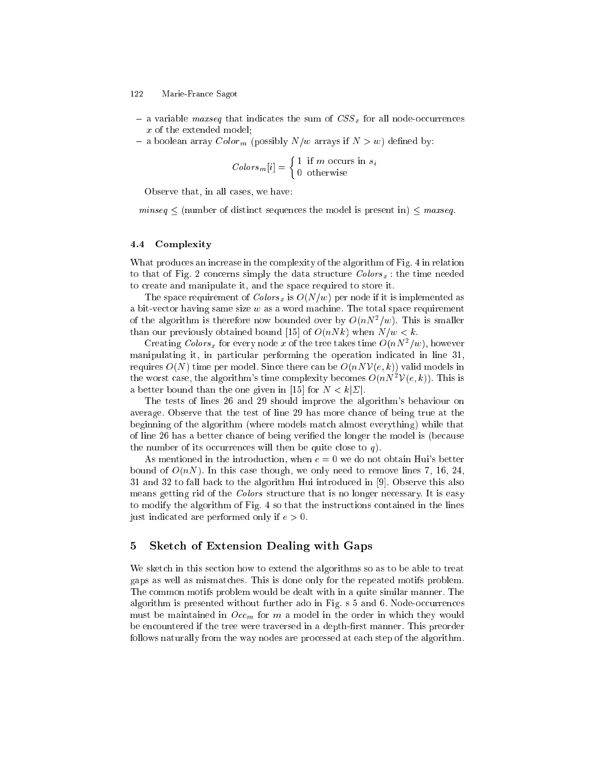- 122 Marie-France Sagot
	- ${\bf u}$  variable maximum of CSS  ${\bf u}$  for all node-occurrences that indicates the sum of CSS  ${\bf u}$  $x \mapsto \infty$  of the extended model; we can extend model; we can extend model; we can extend
- a boolean array  $Color_m$  (possibly  $N/w$  arrays if  $N > w$ ) defined by:

$$
Colors_m[i] = \begin{cases} 1 & \text{if } m \text{ occurs in } s_i \\ 0 & \text{otherwise} \end{cases}
$$

Observe that, in all cases, we have:

minseq (number of distinct sequences the model is present in) maxseq .

### 4.4 Complexity

What produces an increase in the complexity of the algorithm of Fig. 4 in relation to that of  $\Gamma$  is that of  $\Gamma$  is the data structure  $C$  : the time neededed structure  $C$ to create and manipulate it, and the space required to store it.

The space requirement of Colors <sup>x</sup> is O(N=w) per node if it is implemented as a bit-vector having same size  $w$  as a word machine. The total space requirement of the algorithm is therefore now bounded over by  $O(nN^2/w)$ . This is smaller than our previously obtained bound [15] of  $O(nNk)$  when  $N/w < k$ .

Creating Colors x for every node x of the tree takes time  $O(nN^{-1}w)$ , however manipulating it, in particular performing the operation indicated in line 31, requires  $O(N)$  time per model. Since there can be  $O(nNV(e, k))$  valid models in the worst case, the algorithm's time complexity becomes  $O(nN^2V(e,k))$ . This is a better bound than the one given in [15] for  $N < k\lfloor \Sigma \rfloor$ .

The tests of lines 26 and 29 should improve the algorithm's behaviour on average. Observe that the test of line 29 has more chance of being true at the beginning of the algorithm (where models match almost everything) while that of line 26 has a better chance of being veried the longer the model is (because the number of its occurrences will then be quite close to  $q$ ).

As mentioned in the introduction, when  $e = 0$  we do not obtain Hui's better bound of  $O(nN)$ . In this case though, we only need to remove lines 7, 16, 24, 31 and 32 to fall back to the algorithm Hui introduced in [9]. Observe this also means getting rid of the Colors structure that is no longer necessary. It is easy to modify the algorithm of Fig. 4 so that the instructions contained in the lines just indicated are performed only if  $e > 0$ .

### 5 Sketch of Extension Dealing with Gaps

We sketch in this section how to extend the algorithms so as to be able to treat gaps as well as mismatches. This is done only for the repeated motifs problem. The common motifs problem would be dealt with in a quite similar manner. The algorithm is presented without further ado in Fig. s 5 and 6. Node-occurrences must be maintained in  $Occ_m$  for m a model in the order in which they would be encountered if the tree were traversed in a depth-first manner. This preorder follows naturally from the way nodes are processed at each step of the algorithm.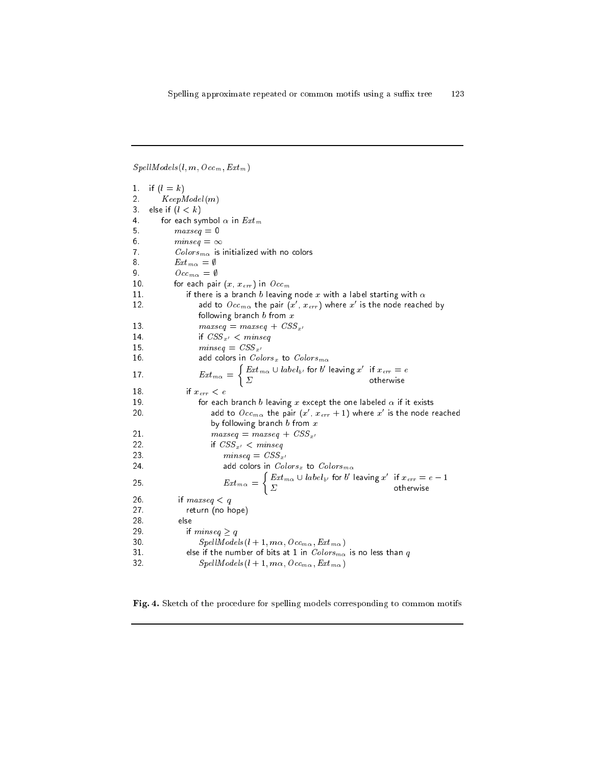$SpellModels (l, m, Occ_m, Ext_m)$ 

1.if  $(l = k)$ 2. $Keep Model(m)$ else if  $(l < k)$ 3.4.for each symbol  $\alpha$  in  $Ext_m$ 5.  $maxseq = 0$ 6. $minseq = \infty$ 7. $Colors_{m\alpha}$  is initialized with no colors 8.  $Ext_{m\alpha} = \emptyset$ 9. $Occ_{m\alpha} = \emptyset$ 10.for each pair  $(x, x_{err})$  in  $Occ_m$ if there is a branch b leaving node x with a label starting with  $\alpha$ 11.12.add to  $\mathcal{OCC}_{m,\alpha}$  the pair ( $x$  ,  $x_{err}$ ) where  $x$  is the node reached by following branch <sup>b</sup> from <sup>x</sup> 13. $maxseq = maxseq + CSS_{x'}$ 14.if  $CSS_{x'} < minseq$ 15. $minseq = CSS_{x'}$ 16.add colors in Colors x to Colorsmit  $\overline{\phantom{a}}$  $Ext_{m\alpha}$  $Ext_{m\alpha} \cup label_{b'}$  for  $b$  leaving  $x$  if  $x_{err} = e$ 17.)  $\Sigma$  otherwise 18.if  $x_{err} < e$ 19.for each branch b leaving x except the one labeled  $\alpha$  if it exists 20.add to  $\mathit{Occ}_{m\alpha}$  the pair ( $x$  ,  $x_{err}+1$ ) where  $x$  is the node reached by following branch <sup>b</sup> from <sup>x</sup>  $maxseq = maxseq + CSS_{x'}$ 21.22. if  $CSS_{x'} < minseq$ 23  $minseq = CSS_x$ 24. add colors in Colors <sup>x</sup> to Colorsm  $Ext_{m\alpha} \cup \textit{labeled}_{b'}$  for  $\textit{0}$  leaving  $x_{-}$  if  $x_{err} = e - 1$ 25. $\equiv$   $\cdots$   $\cdots$ 26. if maxseq <sup>&</sup>lt; <sup>q</sup> 27. return (no hope) 28. else 29.if  $minseq \geq q$  $SpeliModels (l + 1, m\alpha, Occ_{m\alpha}, Ext_{m\alpha})$  $30<sup>2</sup>$ else if the number of bits at 1 in  $\mathit{Colors}_{m\alpha}$  is no less than  $q$ 31.32. $SpellModels (l + 1, m\alpha, Occ_{m\alpha}, Ext_{m\alpha})$ 

Fig. 4. Sketch of the procedure for spelling models corresponding to common motifs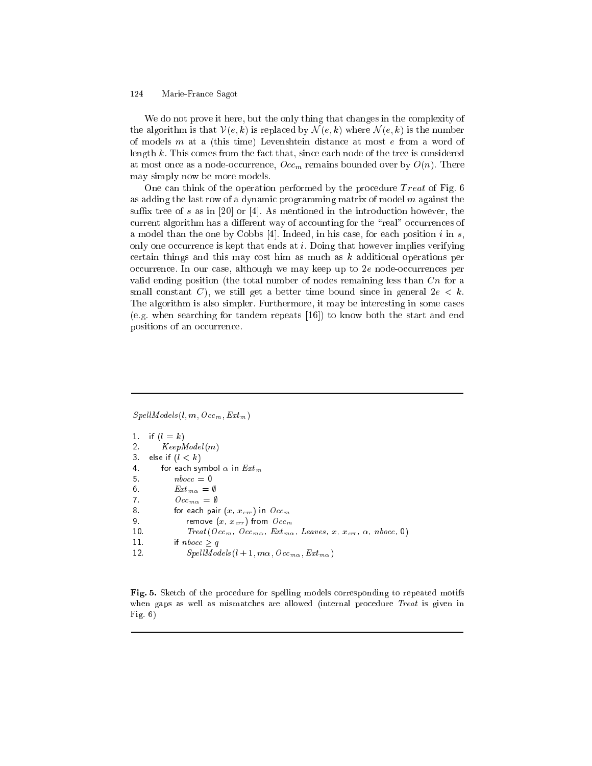We do not prove it here, but the only thing that changes in the complexity of the algorithm is that  $V(e, k)$  is replaced by  $\mathcal{N}(e, k)$  where  $\mathcal{N}(e, k)$  is the number of models <sup>m</sup> at a (this time) Levenshtein distance at most <sup>e</sup> from a word of length k. This comes from the fact that, since each node of the tree is considered at most once as a node-occurrence,  $Occ_m$  remains bounded over by  $O(n)$ . There may simply now be more models.

One can think of the operation performed by the procedure  $Treat$  of Fig. 6 as adding the last row of a dynamic programming matrix of model <sup>m</sup> against the suffix tree of s as in [20] or [4]. As mentioned in the introduction however, the current algorithm has a different way of accounting for the "real" occurrences of a model than the one by Cobbs [4]. Indeed, in his case, for each position  $i$  in  $s$ , only one occurrence is kept that ends at i. Doing that however implies verifying certain things and this may cost him as much as <sup>k</sup> additional operations per occurrence. In our case, although we may keep up to 2e node-occurrences per valid ending position (the total number of nodes remaining less than  $C_n$  for a small constant C), we still get a better time bound since in general  $2e < k$ . The algorithm is also simpler. Furthermore, it may be interesting in some cases (e.g. when searching for tandem repeats [16]) to know both the start and end positions of an occurrence.

 $Spell Models (l, m, Occm, Ext_m)$ 

if  $(l = k)$ 1. $Keep Model(m)$ 2.else if  $(l < k)$ 3.4.for each symbol  $\alpha$  in  $Ext_m$  $nbcc = 0$ 5.6. $Ext_{m\alpha} = \emptyset$ 7. $Occ_{m\alpha} = \emptyset$ for each pair  $(x, x_{err})$  in  $Occ_m$ 8.9.remove  $(x, x_{err})$  from  $Occ_m$ 10. $Treat(Occ_m, Occ_{m\alpha}, Ext_{m\alpha}, Leaves, x, x_{err}, \alpha, nbocc, 0)$ 11.if  $n\text{b}occ \geq q$ 12.  $SpellModels (l + 1, m\alpha, Occ_{m\alpha}, Ext_{m\alpha})$ 

Fig. 5. Sketch of the procedure for spelling models corresponding to repeated motifs when gaps as well as mismatches are allowed (internal procedure Treat is given in Fig. 6)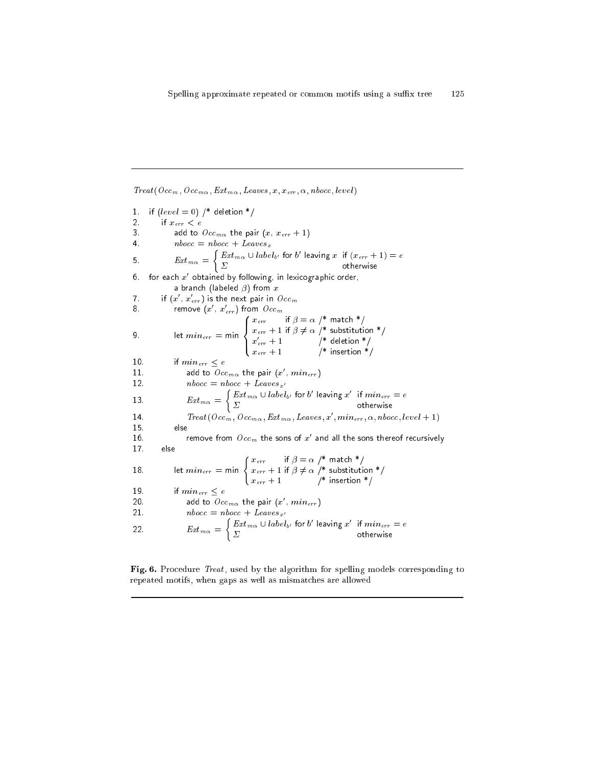$Treat(Occ_m, Occ_{m\alpha}, Ext_{m\alpha}, Leaves, x, x_{err}, \alpha, nhocc, level)$ 

1.if  $(leftvel = 0)$  /\* deletion \*/ 2. if xerr <sup>&</sup>lt; <sup>e</sup> 3 add to  $Occ_{m\alpha}$  the pair  $(x, x_{err} + 1)$ 4.nbocc + Leaves x Leaves x Leaves x Leaves x Leaves x Leaves x Leaves x Leaves x Leaves x Leaves x Leaves x Le 5. $\mathbf{F}$  $\int Ext_{m\alpha} \cup label_{b'}$  for b' leaving x if  $(x_{err} + 1) = e$ 6.for each  $x$  -obtained by following, in lexicographic order, a branch (labeled in proposition) 7.if  $(x$  ,  $x_{\emph{err}}$  is the next pair in  $\mathit{Occ}_m$ 8.remove (  $x$ ,  $x_{\emph{err}}$  from  $\emph{Occ}_m$ 9. $\mathbf{r}$  and  $\mathbf{r}$  and  $\mathbf{r}$  and  $\mathbf{r}$  and  $\mathbf{r}$  and  $\mathbf{r}$  and  $\mathbf{r}$  and  $\mathbf{r}$  and  $\mathbf{r}$  and  $\mathbf{r}$  and  $\mathbf{r}$  and  $\mathbf{r}$  and  $\mathbf{r}$  and  $\mathbf{r}$  and  $\mathbf{r}$  and  $\mathbf{r}$  and  $\mathbf{r}$  and <sup>8</sup>  $\blacksquare$ >: xerr if  <sup>=</sup> /\* match \*/  $x'_{err} + 1$  /\* deletion \*/ xerr <sup>+</sup> <sup>1</sup> /\* insertion \*/ 10.if  $min_{err} \leq e$ 11.add to  $\mathcal{U}\mathcal{C}\mathcal{C}_{m\alpha}$  the pair  $(x\,,\,min_{err})$ 12. $nhoc = nbcc + Leaves_{x'}$ 13. $E = \frac{1}{2}$   $Ext_{m\alpha} \cup label_{b'}$  for  $b$  leaving  $x$  if  $min_{err} = e$ 14. $Treat( \, UCcm, \, \, UCcm\alpha, \, \, Ext_{m\alpha}, \, \, Leaves, \, x\, \, , \, min_{err}, \, \alpha, \, \, noocc, \, level \, + \, 1)$ 15. else 16.remove from  $\mathit{Ucc}_m$  the sons of  $x$  and all the sons thereof recursively 17. else 18.let  $min_{err} = min \begin{cases} x_{err} & \text{if } \beta = \alpha /^* \text{ match } */ \\ x_{err} + 1 \text{ if } \beta \neq \alpha /^* \text{ substitute } ! \end{cases}$ xerr <sup>+</sup> <sup>1</sup> if  6= /\* substitution \*/ xerr <sup>+</sup> <sup>1</sup> /\* insertion \*/ 19.if  $min_{err} \leq e$ 20.add to  $\mathcal{U}\mathcal{C}\mathcal{C}_{m\alpha}$  the pair  $(x\,,\,min_{err})$ 21. $nhoc = nbcc + Leaves_{x'}$ 22. $=$   $\frac{1}{2}$  $\overline{\phantom{a}}$  $Ext_{m\alpha} \cup label_{b'}$  for  $b$  leaving  $x$  if  $min_{err} = e$ 

Fig. 6. Procedure Treat, used by the algorithm for spelling models corresponding to repeated motifs, when gaps as well as mismatches are allowed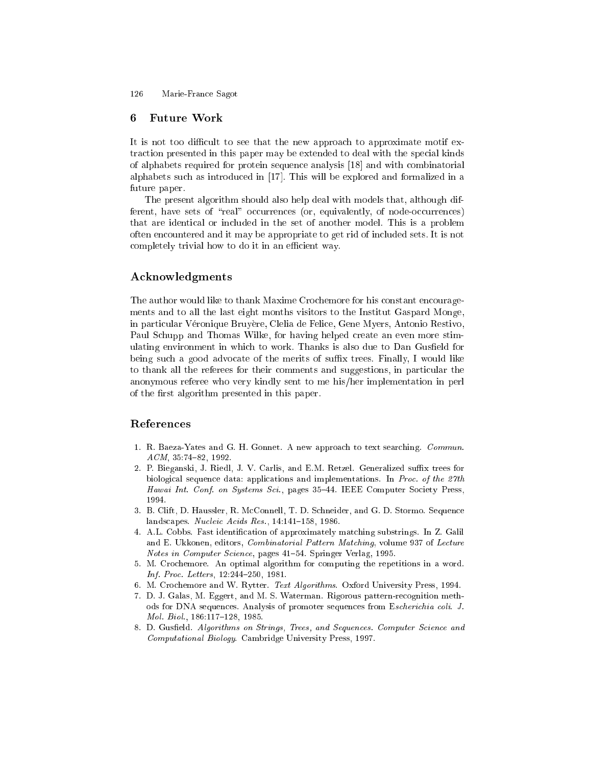### 6 Future Work

It is not too difficult to see that the new approach to approximate motif extraction presented in this paper may be extended to deal with the special kinds of alphabets required for protein sequence analysis [18] and with combinatorial alphabets such as introduced in [17]. This will be explored and formalized in a future paper.

The present algorithm should also help deal with models that, although different, have sets of \real" occurrences (or, equivalently, of node-occurrences) that are identical or included in the set of another model. This is a problem often encountered and it may be appropriate to get rid of included sets. It is not completely trivial how to do it in an efficient way.

### Acknowledgments

The author would like to thank Maxime Crochemore for his constant encouragements and to all the last eight months visitors to the Institut Gaspard Monge, in particular Veronique Bruyere, Clelia de Felice, Gene Myers, Antonio Restivo, Paul Schupp and Thomas Wilke, for having helped create an even more stimulating environment in which to work. Thanks is also due to Dan Gusfield for being such a good advocate of the merits of suffix trees. Finally, I would like to thank all the referees for their comments and suggestions, in particular the anonymous referee who very kindly sent to me his/her implementation in perl of the first algorithm presented in this paper.

### References

- 1. R. Baeza-Yates and G. H. Gonnet. A new approach to text searching. Commun.  $ACM$ ,  $35:74-82$ ,  $1992$ .
- 2. P. Bieganski, J. Riedl, J. V. Carlis, and E.M. Retzel. Generalized suffix trees for biological sequence data: applications and implementations. In Proc. of the 27th Hawai Int. Conf. on Systems Sci., pages 35-44. IEEE Computer Society Press, 1994.
- 3. B. Clift, D. Haussler, R. McConnell, T. D. Schneider, and G. D. Stormo. Sequence landscapes.  $Nucleic$   $Acids$   $Res., 14:141-158, 1986.$
- 4. A.L. Cobbs. Fast identication of approximately matching substrings. In Z. Galil and E. Ukkonen, editors, Combinatorial Pattern Matching, volume 937 of Lecture Notes in Computer Science, pages 41-54. Springer Verlag, 1995.
- 5. M. Crochemore. An optimal algorithm for computing the repetitions in a word. Inf. Proc. Letters, 12:244-250, 1981.
- 6. M. Crochemore and W. Rytter. Text Algorithms. Oxford University Press, 1994.
- 7. D. J. Galas, M. Eggert, and M. S. Waterman. Rigorous pattern-recognition methods for DNA sequences. Analysis of promoter sequences from Escherichia coli. J. Mol. Biol., 186:117-128, 1985.
- 8. D. Gusfield. Algorithms on Strings, Trees, and Sequences. Computer Science and Computational Biology. Cambridge University Press, 1997.